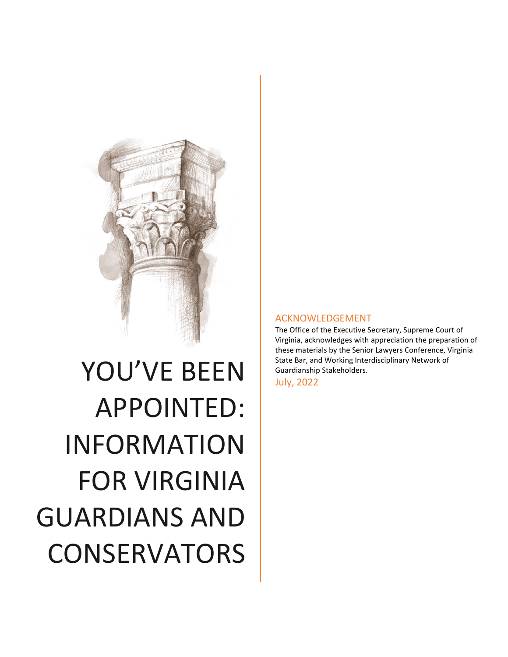

# YOU'VE BEEN APPOINTED: INFORMATION FOR VIRGINIA GUARDIANS AND **CONSERVATORS**

#### ACKNOWLEDGEMENT

The Office of the Executive Secretary, Supreme Court of Virginia, acknowledges with appreciation the preparation of these materials by the Senior Lawyers Conference, Virginia State Bar, and Working Interdisciplinary Network of Guardianship Stakeholders.

July, 2022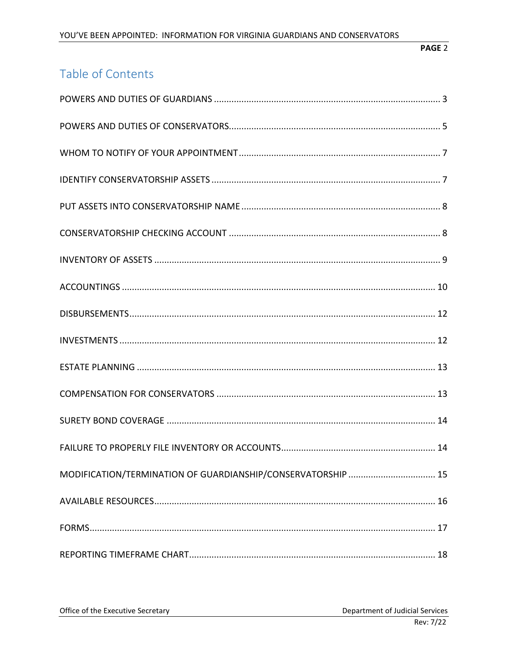# Table of Contents

| MODIFICATION/TERMINATION OF GUARDIANSHIP/CONSERVATORSHIP  15 |
|--------------------------------------------------------------|
|                                                              |
|                                                              |
|                                                              |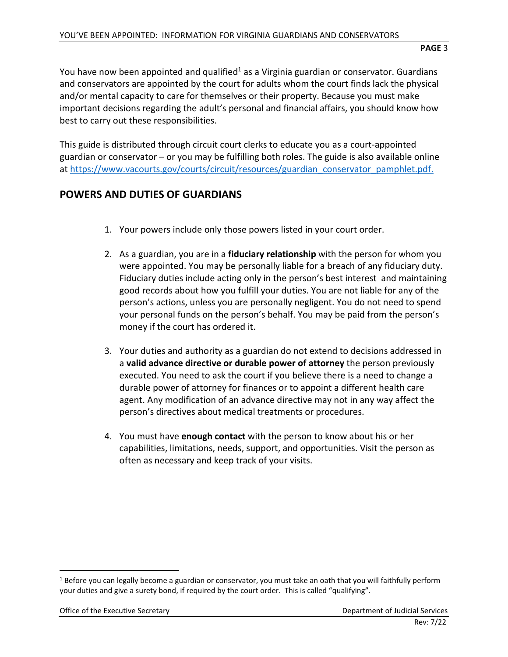You have now been appointed and qualified<sup>1</sup> as a Virginia guardian or conservator. Guardians and conservators are appointed by the court for adults whom the court finds lack the physical and/or mental capacity to care for themselves or their property. Because you must make important decisions regarding the adult's personal and financial affairs, you should know how best to carry out these responsibilities.

This guide is distributed through circuit court clerks to educate you as a court-appointed guardian or conservator – or you may be fulfilling both roles. The guide is also available online at [https://www.vacourts.gov/courts/circuit/resources/guardian\\_conservator\\_pamphlet.pdf.](https://www.vacourts.gov/courts/circuit/resources/guardian_conservator_pamphlet.pdf)

#### <span id="page-2-0"></span>**POWERS AND DUTIES OF GUARDIANS**

- 1. Your powers include only those powers listed in your court order.
- 2. As a guardian, you are in a **fiduciary relationship** with the person for whom you were appointed. You may be personally liable for a breach of any fiduciary duty. Fiduciary duties include acting only in the person's best interest and maintaining good records about how you fulfill your duties. You are not liable for any of the person's actions, unless you are personally negligent. You do not need to spend your personal funds on the person's behalf. You may be paid from the person's money if the court has ordered it.
- 3. Your duties and authority as a guardian do not extend to decisions addressed in a **valid advance directive or durable power of attorney** the person previously executed. You need to ask the court if you believe there is a need to change a durable power of attorney for finances or to appoint a different health care agent. Any modification of an advance directive may not in any way affect the person's directives about medical treatments or procedures.
- 4. You must have **enough contact** with the person to know about his or her capabilities, limitations, needs, support, and opportunities. Visit the person as often as necessary and keep track of your visits.

 $1$  Before you can legally become a guardian or conservator, you must take an oath that you will faithfully perform your duties and give a surety bond, if required by the court order. This is called "qualifying".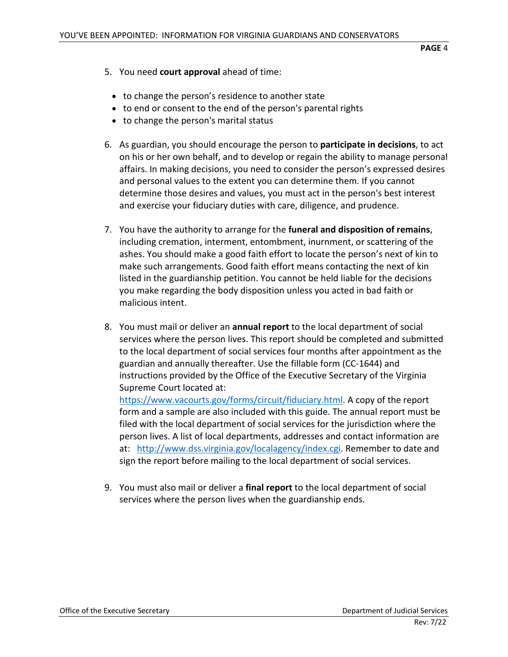- 5. You need **court approval** ahead of time:
	- to change the person's residence to another state
	- to end or consent to the end of the person's parental rights
	- to change the person's marital status
- 6. As guardian, you should encourage the person to **participate in decisions**, to act on his or her own behalf, and to develop or regain the ability to manage personal affairs. In making decisions, you need to consider the person's expressed desires and personal values to the extent you can determine them. If you cannot determine those desires and values, you must act in the person's best interest and exercise your fiduciary duties with care, diligence, and prudence.
- 7. You have the authority to arrange for the **funeral and disposition of remains**, including cremation, interment, entombment, inurnment, or scattering of the ashes. You should make a good faith effort to locate the person's next of kin to make such arrangements. Good faith effort means contacting the next of kin listed in the guardianship petition. You cannot be held liable for the decisions you make regarding the body disposition unless you acted in bad faith or malicious intent.
- 8. You must mail or deliver an **annual report** to the local department of social services where the person lives. This report should be completed and submitted to the local department of social services four months after appointment as the guardian and annually thereafter. Use the fillable form (CC-1644) and instructions provided by the Office of the Executive Secretary of the Virginia Supreme Court located at:

[https://www.vacourts.gov/forms/circuit/fiduciary.html.](https://www.vacourts.gov/forms/circuit/fiduciary.html) A copy of the report form and a sample are also included with this guide. The annual report must be filed with the local department of social services for the jurisdiction where the person lives. A list of local departments, addresses and contact information are at: [http://www.dss.virginia.gov/localagency/index.cgi.](http://www.dss.virginia.gov/localagency/index.cgi) Remember to date and sign the report before mailing to the local department of social services.

9. You must also mail or deliver a **final report** to the local department of social services where the person lives when the guardianship ends.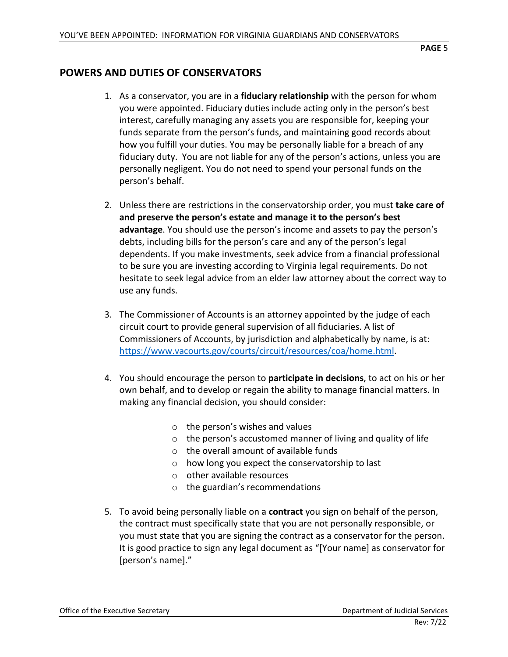# <span id="page-4-0"></span>**POWERS AND DUTIES OF CONSERVATORS**

- 1. As a conservator, you are in a **fiduciary relationship** with the person for whom you were appointed. Fiduciary duties include acting only in the person's best interest, carefully managing any assets you are responsible for, keeping your funds separate from the person's funds, and maintaining good records about how you fulfill your duties. You may be personally liable for a breach of any fiduciary duty. You are not liable for any of the person's actions, unless you are personally negligent. You do not need to spend your personal funds on the person's behalf.
- 2. Unless there are restrictions in the conservatorship order, you must **take care of and preserve the person's estate and manage it to the person's best advantage**. You should use the person's income and assets to pay the person's debts, including bills for the person's care and any of the person's legal dependents. If you make investments, seek advice from a financial professional to be sure you are investing according to Virginia legal requirements. Do not hesitate to seek legal advice from an elder law attorney about the correct way to use any funds.
- 3. The Commissioner of Accounts is an attorney appointed by the judge of each circuit court to provide general supervision of all fiduciaries. A list of Commissioners of Accounts, by jurisdiction and alphabetically by name, is at: [https://www.vacourts.gov/courts/circuit/resources/coa/home.html.](https://www.vacourts.gov/courts/circuit/resources/coa/home.html)
- 4. You should encourage the person to **participate in decisions**, to act on his or her own behalf, and to develop or regain the ability to manage financial matters. In making any financial decision, you should consider:
	- o the person's wishes and values
	- o the person's accustomed manner of living and quality of life
	- o the overall amount of available funds
	- o how long you expect the conservatorship to last
	- o other available resources
	- o the guardian's recommendations
- 5. To avoid being personally liable on a **contract** you sign on behalf of the person, the contract must specifically state that you are not personally responsible, or you must state that you are signing the contract as a conservator for the person. It is good practice to sign any legal document as "[Your name] as conservator for [person's name]."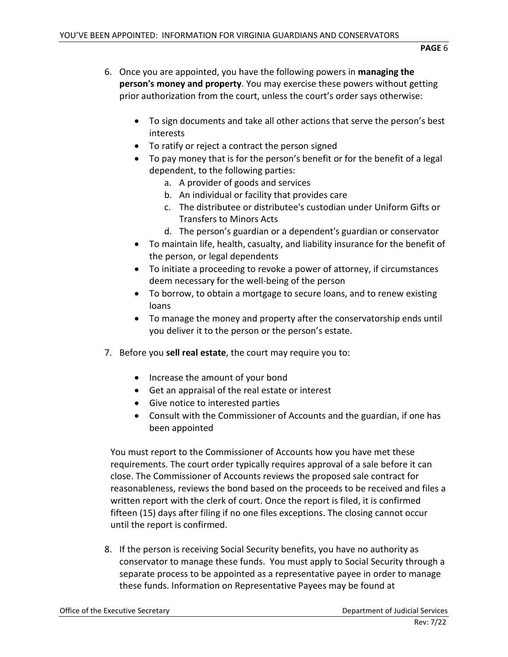- 6. Once you are appointed, you have the following powers in **managing the person's money and property**. You may exercise these powers without getting prior authorization from the court, unless the court's order says otherwise:
	- To sign documents and take all other actions that serve the person's best interests
	- To ratify or reject a contract the person signed
	- To pay money that is for the person's benefit or for the benefit of a legal dependent, to the following parties:
		- a. A provider of goods and services
		- b. An individual or facility that provides care
		- c. The distributee or distributee's custodian under Uniform Gifts or Transfers to Minors Acts
		- d. The person's guardian or a dependent's guardian or conservator
	- To maintain life, health, casualty, and liability insurance for the benefit of the person, or legal dependents
	- To initiate a proceeding to revoke a power of attorney, if circumstances deem necessary for the well-being of the person
	- To borrow, to obtain a mortgage to secure loans, and to renew existing loans
	- To manage the money and property after the conservatorship ends until you deliver it to the person or the person's estate.
- 7. Before you **sell real estate**, the court may require you to:
	- Increase the amount of your bond
	- Get an appraisal of the real estate or interest
	- Give notice to interested parties
	- Consult with the Commissioner of Accounts and the guardian, if one has been appointed

You must report to the Commissioner of Accounts how you have met these requirements. The court order typically requires approval of a sale before it can close. The Commissioner of Accounts reviews the proposed sale contract for reasonableness, reviews the bond based on the proceeds to be received and files a written report with the clerk of court. Once the report is filed, it is confirmed fifteen (15) days after filing if no one files exceptions. The closing cannot occur until the report is confirmed.

8. If the person is receiving Social Security benefits, you have no authority as conservator to manage these funds. You must apply to Social Security through a separate process to be appointed as a representative payee in order to manage these funds. Information on Representative Payees may be found at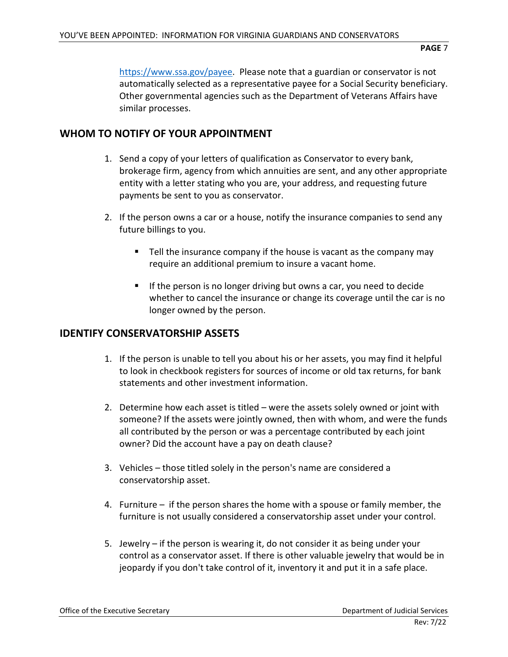[https://www.ssa.gov/payee.](https://www.ssa.gov/payee) Please note that a guardian or conservator is not automatically selected as a representative payee for a Social Security beneficiary. Other governmental agencies such as the Department of Veterans Affairs have similar processes.

# <span id="page-6-0"></span>**WHOM TO NOTIFY OF YOUR APPOINTMENT**

- 1. Send a copy of your letters of qualification as Conservator to every bank, brokerage firm, agency from which annuities are sent, and any other appropriate entity with a letter stating who you are, your address, and requesting future payments be sent to you as conservator.
- 2. If the person owns a car or a house, notify the insurance companies to send any future billings to you.
	- Tell the insurance company if the house is vacant as the company may require an additional premium to insure a vacant home.
	- If the person is no longer driving but owns a car, you need to decide whether to cancel the insurance or change its coverage until the car is no longer owned by the person.

### <span id="page-6-1"></span>**IDENTIFY CONSERVATORSHIP ASSETS**

- 1. If the person is unable to tell you about his or her assets, you may find it helpful to look in checkbook registers for sources of income or old tax returns, for bank statements and other investment information.
- 2. Determine how each asset is titled were the assets solely owned or joint with someone? If the assets were jointly owned, then with whom, and were the funds all contributed by the person or was a percentage contributed by each joint owner? Did the account have a pay on death clause?
- 3. Vehicles those titled solely in the person's name are considered a conservatorship asset.
- 4. Furniture if the person shares the home with a spouse or family member, the furniture is not usually considered a conservatorship asset under your control.
- 5. Jewelry if the person is wearing it, do not consider it as being under your control as a conservator asset. If there is other valuable jewelry that would be in jeopardy if you don't take control of it, inventory it and put it in a safe place.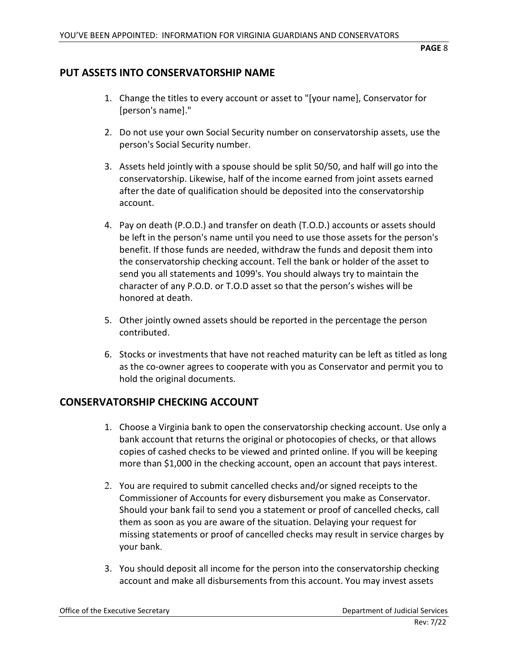# <span id="page-7-0"></span>**PUT ASSETS INTO CONSERVATORSHIP NAME**

- 1. Change the titles to every account or asset to "[your name], Conservator for [person's name]."
- 2. Do not use your own Social Security number on conservatorship assets, use the person's Social Security number.
- 3. Assets held jointly with a spouse should be split 50/50, and half will go into the conservatorship. Likewise, half of the income earned from joint assets earned after the date of qualification should be deposited into the conservatorship account.
- 4. Pay on death (P.O.D.) and transfer on death (T.O.D.) accounts or assets should be left in the person's name until you need to use those assets for the person's benefit. If those funds are needed, withdraw the funds and deposit them into the conservatorship checking account. Tell the bank or holder of the asset to send you all statements and 1099's. You should always try to maintain the character of any P.O.D. or T.O.D asset so that the person's wishes will be honored at death.
- 5. Other jointly owned assets should be reported in the percentage the person contributed.
- 6. Stocks or investments that have not reached maturity can be left as titled as long as the co-owner agrees to cooperate with you as Conservator and permit you to hold the original documents.

#### <span id="page-7-1"></span>**CONSERVATORSHIP CHECKING ACCOUNT**

- 1. Choose a Virginia bank to open the conservatorship checking account. Use only a bank account that returns the original or photocopies of checks, or that allows copies of cashed checks to be viewed and printed online. If you will be keeping more than \$1,000 in the checking account, open an account that pays interest.
- 2. You are required to submit cancelled checks and/or signed receipts to the Commissioner of Accounts for every disbursement you make as Conservator. Should your bank fail to send you a statement or proof of cancelled checks, call them as soon as you are aware of the situation. Delaying your request for missing statements or proof of cancelled checks may result in service charges by your bank.
- 3. You should deposit all income for the person into the conservatorship checking account and make all disbursements from this account. You may invest assets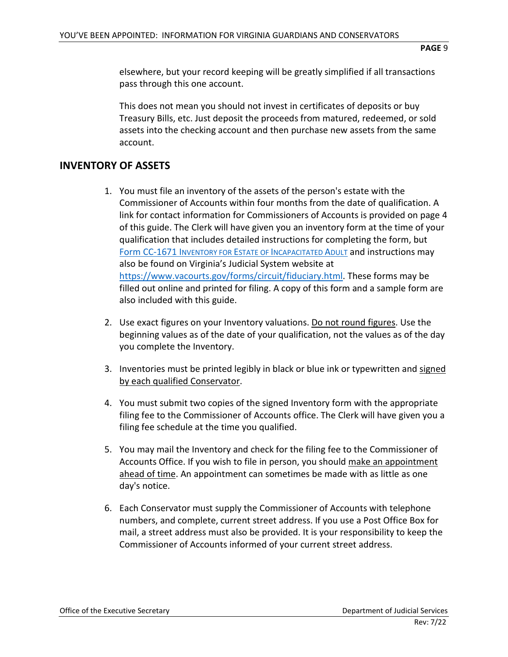elsewhere, but your record keeping will be greatly simplified if all transactions pass through this one account.

This does not mean you should not invest in certificates of deposits or buy Treasury Bills, etc. Just deposit the proceeds from matured, redeemed, or sold assets into the checking account and then purchase new assets from the same account.

# <span id="page-8-0"></span>**INVENTORY OF ASSETS**

- 1. You must file an inventory of the assets of the person's estate with the Commissioner of Accounts within four months from the date of qualification. A link for contact information for Commissioners of Accounts is provided on page 4 of this guide. The Clerk will have given you an inventory form at the time of your qualification that includes detailed instructions for completing the form, but [Form CC-1671 INVENTORY FOR ESTATE OF INCAPACITATED ADULT](http://www.vacourts.gov/forms/circuit/cc1671.pdf) and instructions may also be found on Virginia's Judicial System website at [https://www.vacourts.gov/forms/circuit/fiduciary.html.](https://www.vacourts.gov/forms/circuit/fiduciary.html) These forms may be filled out online and printed for filing. A copy of this form and a sample form are also included with this guide.
- 2. Use exact figures on your Inventory valuations. Do not round figures. Use the beginning values as of the date of your qualification, not the values as of the day you complete the Inventory.
- 3. Inventories must be printed legibly in black or blue ink or typewritten and signed by each qualified Conservator.
- 4. You must submit two copies of the signed Inventory form with the appropriate filing fee to the Commissioner of Accounts office. The Clerk will have given you a filing fee schedule at the time you qualified.
- 5. You may mail the Inventory and check for the filing fee to the Commissioner of Accounts Office. If you wish to file in person, you should make an appointment ahead of time. An appointment can sometimes be made with as little as one day's notice.
- 6. Each Conservator must supply the Commissioner of Accounts with telephone numbers, and complete, current street address. If you use a Post Office Box for mail, a street address must also be provided. It is your responsibility to keep the Commissioner of Accounts informed of your current street address.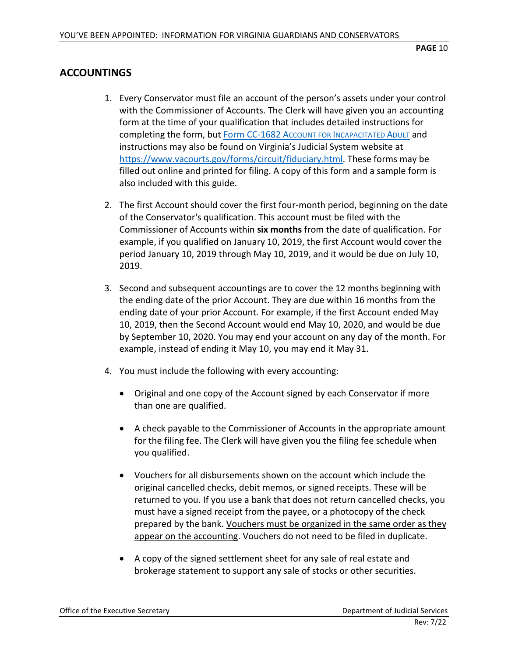# <span id="page-9-0"></span>**ACCOUNTINGS**

- 1. Every Conservator must file an account of the person's assets under your control with the Commissioner of Accounts. The Clerk will have given you an accounting form at the time of your qualification that includes detailed instructions for completing the form, but [Form CC-1682 ACCOUNT FOR INCAPACITATED ADULT](http://www.vacourts.gov/forms/circuit/cc1682.pdf) and instructions may also be found on Virginia's Judicial System website at [https://www.vacourts.gov/forms/circuit/fiduciary.html.](https://www.vacourts.gov/forms/circuit/fiduciary.html) These forms may be filled out online and printed for filing. A copy of this form and a sample form is also included with this guide.
- 2. The first Account should cover the first four-month period, beginning on the date of the Conservator's qualification. This account must be filed with the Commissioner of Accounts within **six months** from the date of qualification. For example, if you qualified on January 10, 2019, the first Account would cover the period January 10, 2019 through May 10, 2019, and it would be due on July 10, 2019.
- 3. Second and subsequent accountings are to cover the 12 months beginning with the ending date of the prior Account. They are due within 16 months from the ending date of your prior Account. For example, if the first Account ended May 10, 2019, then the Second Account would end May 10, 2020, and would be due by September 10, 2020. You may end your account on any day of the month. For example, instead of ending it May 10, you may end it May 31.
- 4. You must include the following with every accounting:
	- Original and one copy of the Account signed by each Conservator if more than one are qualified.
	- A check payable to the Commissioner of Accounts in the appropriate amount for the filing fee. The Clerk will have given you the filing fee schedule when you qualified.
	- Vouchers for all disbursements shown on the account which include the original cancelled checks, debit memos, or signed receipts. These will be returned to you. If you use a bank that does not return cancelled checks, you must have a signed receipt from the payee, or a photocopy of the check prepared by the bank. Vouchers must be organized in the same order as they appear on the accounting. Vouchers do not need to be filed in duplicate.
	- A copy of the signed settlement sheet for any sale of real estate and brokerage statement to support any sale of stocks or other securities.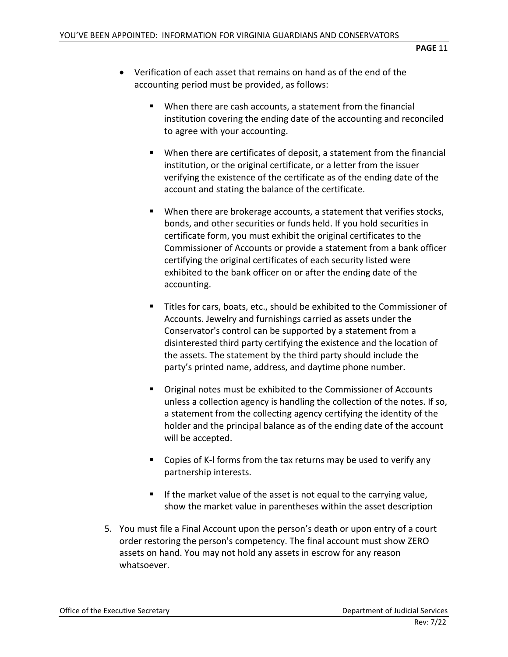- Verification of each asset that remains on hand as of the end of the accounting period must be provided, as follows:
	- When there are cash accounts, a statement from the financial institution covering the ending date of the accounting and reconciled to agree with your accounting.
	- When there are certificates of deposit, a statement from the financial institution, or the original certificate, or a letter from the issuer verifying the existence of the certificate as of the ending date of the account and stating the balance of the certificate.
	- When there are brokerage accounts, a statement that verifies stocks, bonds, and other securities or funds held. If you hold securities in certificate form, you must exhibit the original certificates to the Commissioner of Accounts or provide a statement from a bank officer certifying the original certificates of each security listed were exhibited to the bank officer on or after the ending date of the accounting.
	- Titles for cars, boats, etc., should be exhibited to the Commissioner of Accounts. Jewelry and furnishings carried as assets under the Conservator's control can be supported by a statement from a disinterested third party certifying the existence and the location of the assets. The statement by the third party should include the party's printed name, address, and daytime phone number.
	- Original notes must be exhibited to the Commissioner of Accounts unless a collection agency is handling the collection of the notes. If so, a statement from the collecting agency certifying the identity of the holder and the principal balance as of the ending date of the account will be accepted.
	- Copies of K-I forms from the tax returns may be used to verify any partnership interests.
	- $\blacksquare$  If the market value of the asset is not equal to the carrying value, show the market value in parentheses within the asset description
- 5. You must file a Final Account upon the person's death or upon entry of a court order restoring the person's competency. The final account must show ZERO assets on hand. You may not hold any assets in escrow for any reason whatsoever.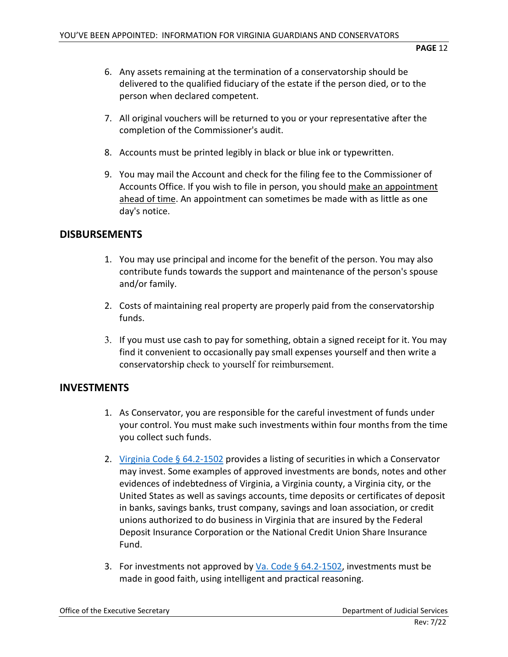- 6. Any assets remaining at the termination of a conservatorship should be delivered to the qualified fiduciary of the estate if the person died, or to the person when declared competent.
- 7. All original vouchers will be returned to you or your representative after the completion of the Commissioner's audit.
- 8. Accounts must be printed legibly in black or blue ink or typewritten.
- 9. You may mail the Account and check for the filing fee to the Commissioner of Accounts Office. If you wish to file in person, you should make an appointment ahead of time. An appointment can sometimes be made with as little as one day's notice.

#### <span id="page-11-0"></span>**DISBURSEMENTS**

- 1. You may use principal and income for the benefit of the person. You may also contribute funds towards the support and maintenance of the person's spouse and/or family.
- 2. Costs of maintaining real property are properly paid from the conservatorship funds.
- 3. If you must use cash to pay for something, obtain a signed receipt for it. You may find it convenient to occasionally pay small expenses yourself and then write a conservatorship check to yourself for reimbursement.

# <span id="page-11-1"></span>**INVESTMENTS**

- 1. As Conservator, you are responsible for the careful investment of funds under your control. You must make such investments within four months from the time you collect such funds.
- 2. [Virginia Code § 64.2-1502](https://law.lis.virginia.gov/vacode/64.2-1502/) provides a listing of securities in which a Conservator may invest. Some examples of approved investments are bonds, notes and other evidences of indebtedness of Virginia, a Virginia county, a Virginia city, or the United States as well as savings accounts, time deposits or certificates of deposit in banks, savings banks, trust company, savings and loan association, or credit unions authorized to do business in Virginia that are insured by the Federal Deposit Insurance Corporation or the National Credit Union Share Insurance Fund.
- 3. For investments not approved by Va. Code  $\S$  64.2-1502, investments must be made in good faith, using intelligent and practical reasoning.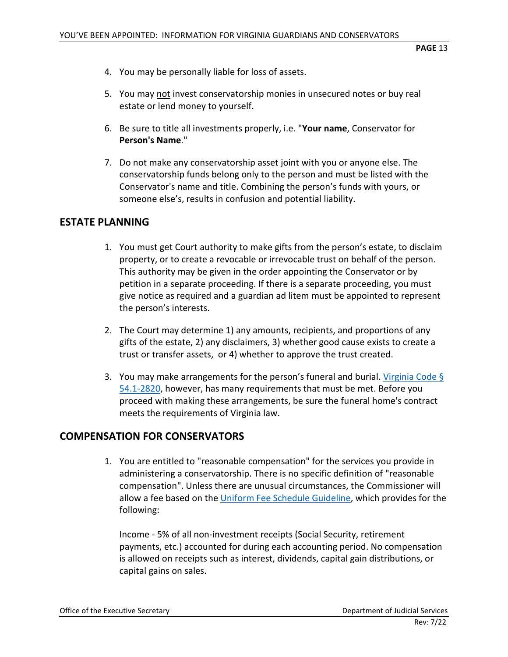- 4. You may be personally liable for loss of assets.
- 5. You may not invest conservatorship monies in unsecured notes or buy real estate or lend money to yourself.
- 6. Be sure to title all investments properly, i.e. "**Your name**, Conservator for **Person's Name**."
- 7. Do not make any conservatorship asset joint with you or anyone else. The conservatorship funds belong only to the person and must be listed with the Conservator's name and title. Combining the person's funds with yours, or someone else's, results in confusion and potential liability.

#### <span id="page-12-0"></span>**ESTATE PLANNING**

- 1. You must get Court authority to make gifts from the person's estate, to disclaim property, or to create a revocable or irrevocable trust on behalf of the person. This authority may be given in the order appointing the Conservator or by petition in a separate proceeding. If there is a separate proceeding, you must give notice as required and a guardian ad litem must be appointed to represent the person's interests.
- 2. The Court may determine 1) any amounts, recipients, and proportions of any gifts of the estate, 2) any disclaimers, 3) whether good cause exists to create a trust or transfer assets, or 4) whether to approve the trust created.
- 3. You may make arrangements for the person's funeral and burial. Virginia Code  $\S$ [54.1-2820,](https://law.lis.virginia.gov/vacode/54.1-2820/) however, has many requirements that must be met. Before you proceed with making these arrangements, be sure the funeral home's contract meets the requirements of Virginia law.

# <span id="page-12-1"></span>**COMPENSATION FOR CONSERVATORS**

1. You are entitled to "reasonable compensation" for the services you provide in administering a conservatorship. There is no specific definition of "reasonable compensation". Unless there are unusual circumstances, the Commissioner will allow a fee based on th[e Uniform Fee Schedule Guideline,](http://www.courts.state.va.us/courts/circuit/resources/coa_fee_schedule.pdf) which provides for the following:

Income - 5% of all non-investment receipts (Social Security, retirement payments, etc.) accounted for during each accounting period. No compensation is allowed on receipts such as interest, dividends, capital gain distributions, or capital gains on sales.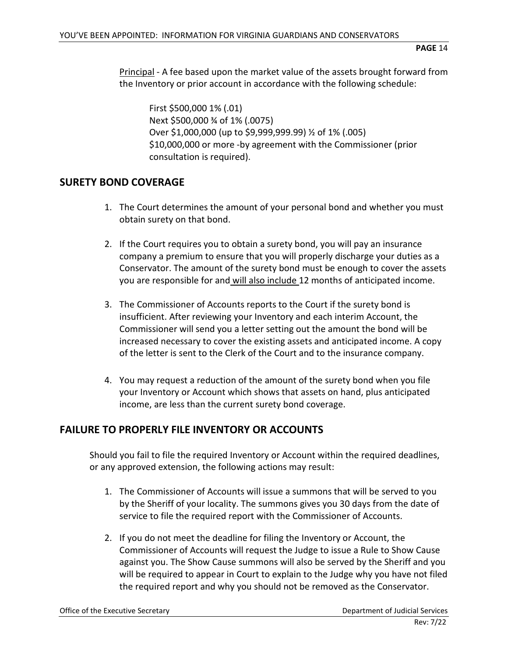Principal - A fee based upon the market value of the assets brought forward from the Inventory or prior account in accordance with the following schedule:

First \$500,000 1% (.01) Next \$500,000 ¾ of 1% (.0075) Over \$1,000,000 (up to \$9,999,999.99) ½ of 1% (.005) \$10,000,000 or more -by agreement with the Commissioner (prior consultation is required).

# <span id="page-13-0"></span>**SURETY BOND COVERAGE**

- 1. The Court determines the amount of your personal bond and whether you must obtain surety on that bond.
- 2. If the Court requires you to obtain a surety bond, you will pay an insurance company a premium to ensure that you will properly discharge your duties as a Conservator. The amount of the surety bond must be enough to cover the assets you are responsible for and will also include 12 months of anticipated income.
- 3. The Commissioner of Accounts reports to the Court if the surety bond is insufficient. After reviewing your Inventory and each interim Account, the Commissioner will send you a letter setting out the amount the bond will be increased necessary to cover the existing assets and anticipated income. A copy of the letter is sent to the Clerk of the Court and to the insurance company.
- 4. You may request a reduction of the amount of the surety bond when you file your Inventory or Account which shows that assets on hand, plus anticipated income, are less than the current surety bond coverage.

# <span id="page-13-1"></span>**FAILURE TO PROPERLY FILE INVENTORY OR ACCOUNTS**

Should you fail to file the required Inventory or Account within the required deadlines, or any approved extension, the following actions may result:

- 1. The Commissioner of Accounts will issue a summons that will be served to you by the Sheriff of your locality. The summons gives you 30 days from the date of service to file the required report with the Commissioner of Accounts.
- 2. If you do not meet the deadline for filing the Inventory or Account, the Commissioner of Accounts will request the Judge to issue a Rule to Show Cause against you. The Show Cause summons will also be served by the Sheriff and you will be required to appear in Court to explain to the Judge why you have not filed the required report and why you should not be removed as the Conservator.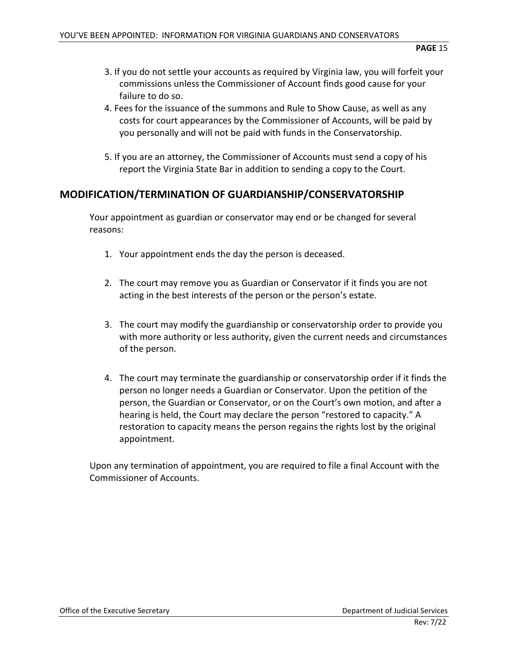- 3. If you do not settle your accounts as required by Virginia law, you will forfeit your commissions unless the Commissioner of Account finds good cause for your failure to do so.
- 4. Fees for the issuance of the summons and Rule to Show Cause, as well as any costs for court appearances by the Commissioner of Accounts, will be paid by you personally and will not be paid with funds in the Conservatorship.
- 5. If you are an attorney, the Commissioner of Accounts must send a copy of his report the Virginia State Bar in addition to sending a copy to the Court.

#### <span id="page-14-0"></span>**MODIFICATION/TERMINATION OF GUARDIANSHIP/CONSERVATORSHIP**

Your appointment as guardian or conservator may end or be changed for several reasons:

- 1. Your appointment ends the day the person is deceased.
- 2. The court may remove you as Guardian or Conservator if it finds you are not acting in the best interests of the person or the person's estate.
- 3. The court may modify the guardianship or conservatorship order to provide you with more authority or less authority, given the current needs and circumstances of the person.
- 4. The court may terminate the guardianship or conservatorship order if it finds the person no longer needs a Guardian or Conservator. Upon the petition of the person, the Guardian or Conservator, or on the Court's own motion, and after a hearing is held, the Court may declare the person "restored to capacity." A restoration to capacity means the person regains the rights lost by the original appointment.

Upon any termination of appointment, you are required to file a final Account with the Commissioner of Accounts.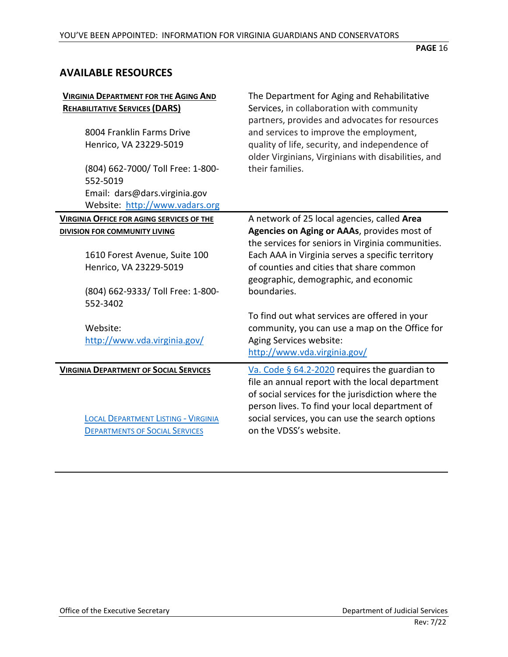# <span id="page-15-0"></span>**AVAILABLE RESOURCES**

| <b>VIRGINIA DEPARTMENT FOR THE AGING AND</b><br><b>REHABILITATIVE SERVICES (DARS)</b><br>8004 Franklin Farms Drive<br>Henrico, VA 23229-5019 | The Department for Aging and Rehabilitative<br>Services, in collaboration with community<br>partners, provides and advocates for resources<br>and services to improve the employment,<br>quality of life, security, and independence of<br>older Virginians, Virginians with disabilities, and |
|----------------------------------------------------------------------------------------------------------------------------------------------|------------------------------------------------------------------------------------------------------------------------------------------------------------------------------------------------------------------------------------------------------------------------------------------------|
| (804) 662-7000/ Toll Free: 1-800-<br>552-5019<br>Email: dars@dars.virginia.gov<br>Website: http://www.vadars.org                             | their families.                                                                                                                                                                                                                                                                                |
| <b>VIRGINIA OFFICE FOR AGING SERVICES OF THE</b>                                                                                             | A network of 25 local agencies, called Area                                                                                                                                                                                                                                                    |
| DIVISION FOR COMMUNITY LIVING                                                                                                                | Agencies on Aging or AAAs, provides most of<br>the services for seniors in Virginia communities.                                                                                                                                                                                               |
| 1610 Forest Avenue, Suite 100                                                                                                                | Each AAA in Virginia serves a specific territory                                                                                                                                                                                                                                               |
| Henrico, VA 23229-5019                                                                                                                       | of counties and cities that share common<br>geographic, demographic, and economic                                                                                                                                                                                                              |
| (804) 662-9333/ Toll Free: 1-800-<br>552-3402                                                                                                | boundaries.                                                                                                                                                                                                                                                                                    |
| Website:<br>http://www.vda.virginia.gov/                                                                                                     | To find out what services are offered in your<br>community, you can use a map on the Office for<br>Aging Services website:<br>http://www.vda.virginia.gov/                                                                                                                                     |
| <b>VIRGINIA DEPARTMENT OF SOCIAL SERVICES</b>                                                                                                | Va. Code § 64.2-2020 requires the guardian to<br>file an annual report with the local department<br>of social services for the jurisdiction where the<br>person lives. To find your local department of                                                                                        |
| <b>LOCAL DEPARTMENT LISTING - VIRGINIA</b><br><b>DEPARTMENTS OF SOCIAL SERVICES</b>                                                          | social services, you can use the search options<br>on the VDSS's website.                                                                                                                                                                                                                      |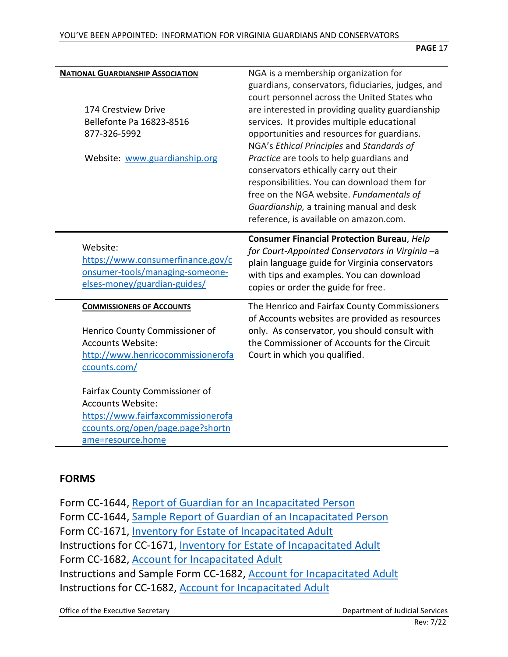| <b>NATIONAL GUARDIANSHIP ASSOCIATION</b><br>174 Crestview Drive<br>Bellefonte Pa 16823-8516<br>877-326-5992<br>Website: www.guardianship.org               | NGA is a membership organization for<br>guardians, conservators, fiduciaries, judges, and<br>court personnel across the United States who<br>are interested in providing quality guardianship<br>services. It provides multiple educational<br>opportunities and resources for guardians.<br>NGA's Ethical Principles and Standards of<br>Practice are tools to help guardians and<br>conservators ethically carry out their<br>responsibilities. You can download them for<br>free on the NGA website. Fundamentals of<br>Guardianship, a training manual and desk<br>reference, is available on amazon.com. |
|------------------------------------------------------------------------------------------------------------------------------------------------------------|---------------------------------------------------------------------------------------------------------------------------------------------------------------------------------------------------------------------------------------------------------------------------------------------------------------------------------------------------------------------------------------------------------------------------------------------------------------------------------------------------------------------------------------------------------------------------------------------------------------|
| Website:<br>https://www.consumerfinance.gov/c<br>onsumer-tools/managing-someone-<br>elses-money/guardian-guides/                                           | <b>Consumer Financial Protection Bureau, Help</b><br>for Court-Appointed Conservators in Virginia -a<br>plain language guide for Virginia conservators<br>with tips and examples. You can download<br>copies or order the guide for free.                                                                                                                                                                                                                                                                                                                                                                     |
| <b>COMMISSIONERS OF ACCOUNTS</b><br>Henrico County Commissioner of<br><b>Accounts Website:</b><br>http://www.henricocommissionerofa<br>ccounts.com/        | The Henrico and Fairfax County Commissioners<br>of Accounts websites are provided as resources<br>only. As conservator, you should consult with<br>the Commissioner of Accounts for the Circuit<br>Court in which you qualified.                                                                                                                                                                                                                                                                                                                                                                              |
| Fairfax County Commissioner of<br><b>Accounts Website:</b><br>https://www.fairfaxcommissionerofa<br>ccounts.org/open/page.page?shortn<br>ame=resource.home |                                                                                                                                                                                                                                                                                                                                                                                                                                                                                                                                                                                                               |

# <span id="page-16-0"></span>**FORMS**

Form CC-1644, [Report of Guardian for an Incapacitated Person](https://www.vacourts.gov/forms/circuit/cc1644.pdf) Form CC-1644, [Sample Report of Guardian of an Incapacitated Person](https://www.vacourts.gov/forms/circuit/cc1644_samp.pdf) Form CC-1671, [Inventory for Estate of Incapacitated Adult](https://www.vacourts.gov/forms/circuit/cc1671.pdf) Instructions for CC-1671, [Inventory for Estate of Incapacitated Adult](https://www.vacourts.gov/forms/circuit/cc1671inst.pdf) Form CC-1682, [Account for Incapacitated Adult](https://www.vacourts.gov/forms/circuit/cc1682.pdf) Instructions and Sample Form CC-1682, [Account for Incapacitated Adult](https://www.vacourts.gov/forms/circuit/cc1682inst.pdf) Instructions for CC-1682, [Account for Incapacitated Adult](https://www.vacourts.gov/forms/circuit/cc1682.pdf)